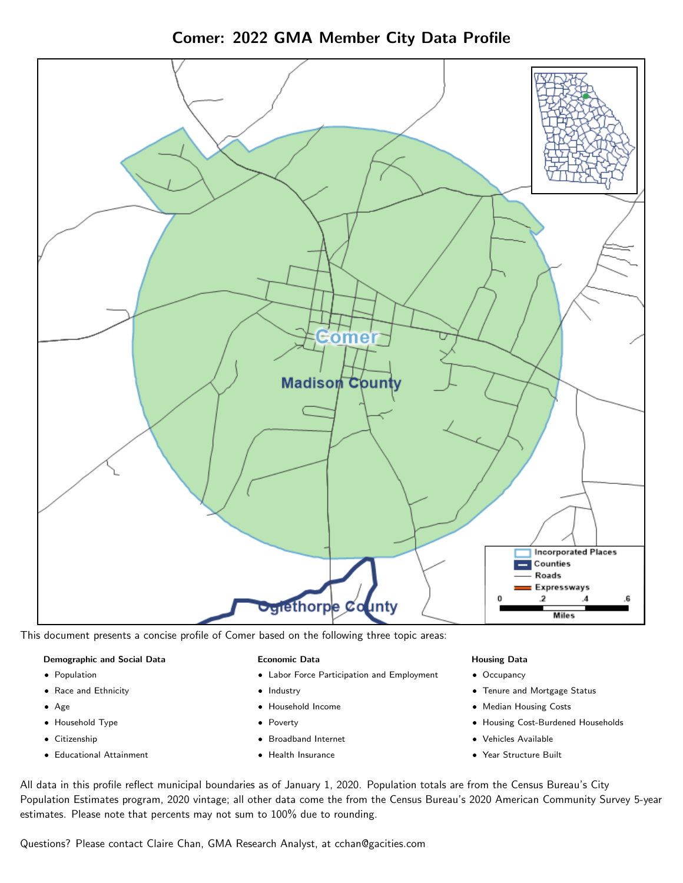Comer: 2022 GMA Member City Data Profile



This document presents a concise profile of Comer based on the following three topic areas:

### Demographic and Social Data

- **•** Population
- Race and Ethnicity
- Age
- Household Type
- **Citizenship**
- Educational Attainment

### Economic Data

- Labor Force Participation and Employment
- Industry
- Household Income
- Poverty
- Broadband Internet
- Health Insurance

### Housing Data

- Occupancy
- Tenure and Mortgage Status
- Median Housing Costs
- Housing Cost-Burdened Households
- Vehicles Available
- Year Structure Built

All data in this profile reflect municipal boundaries as of January 1, 2020. Population totals are from the Census Bureau's City Population Estimates program, 2020 vintage; all other data come the from the Census Bureau's 2020 American Community Survey 5-year estimates. Please note that percents may not sum to 100% due to rounding.

Questions? Please contact Claire Chan, GMA Research Analyst, at [cchan@gacities.com.](mailto:cchan@gacities.com)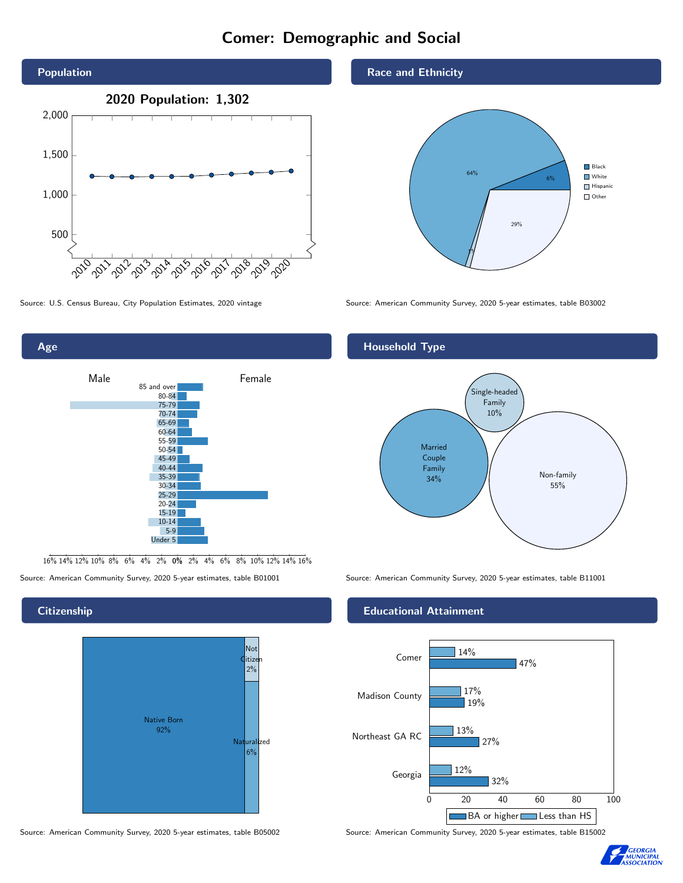# Comer: Demographic and Social





16% 14% 12% 10% 8% 6% 4% 2% 0% 2% 4% 6% 8% 10% 12% 14% 16%



Source: American Community Survey, 2020 5-year estimates, table B05002 Source: American Community Survey, 2020 5-year estimates, table B15002

### Race and Ethnicity



Source: U.S. Census Bureau, City Population Estimates, 2020 vintage Source: American Community Survey, 2020 5-year estimates, table B03002

## Household Type



Source: American Community Survey, 2020 5-year estimates, table B01001 Source: American Community Survey, 2020 5-year estimates, table B11001

### Educational Attainment



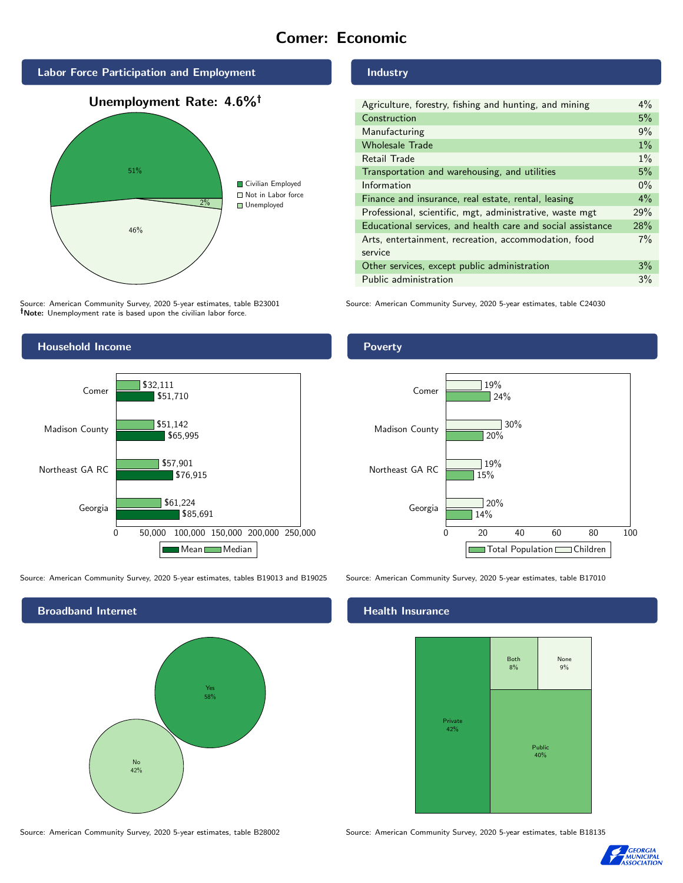# Comer: Economic



Source: American Community Survey, 2020 5-year estimates, table B23001 Note: Unemployment rate is based upon the civilian labor force.

# Industry

| Agriculture, forestry, fishing and hunting, and mining      | $4\%$ |
|-------------------------------------------------------------|-------|
| Construction                                                | 5%    |
| Manufacturing                                               | 9%    |
| <b>Wholesale Trade</b>                                      | $1\%$ |
| Retail Trade                                                | $1\%$ |
| Transportation and warehousing, and utilities               | 5%    |
| Information                                                 | $0\%$ |
| Finance and insurance, real estate, rental, leasing         | $4\%$ |
| Professional, scientific, mgt, administrative, waste mgt    | 29%   |
| Educational services, and health care and social assistance | 28%   |
| Arts, entertainment, recreation, accommodation, food        | 7%    |
| service                                                     |       |
| Other services, except public administration                | 3%    |
| Public administration                                       | 3%    |

Source: American Community Survey, 2020 5-year estimates, table C24030



Source: American Community Survey, 2020 5-year estimates, tables B19013 and B19025 Source: American Community Survey, 2020 5-year estimates, table B17010



### Poverty



## **Health Insurance**



Source: American Community Survey, 2020 5-year estimates, table B28002 Source: American Community Survey, 2020 5-year estimates, table B18135